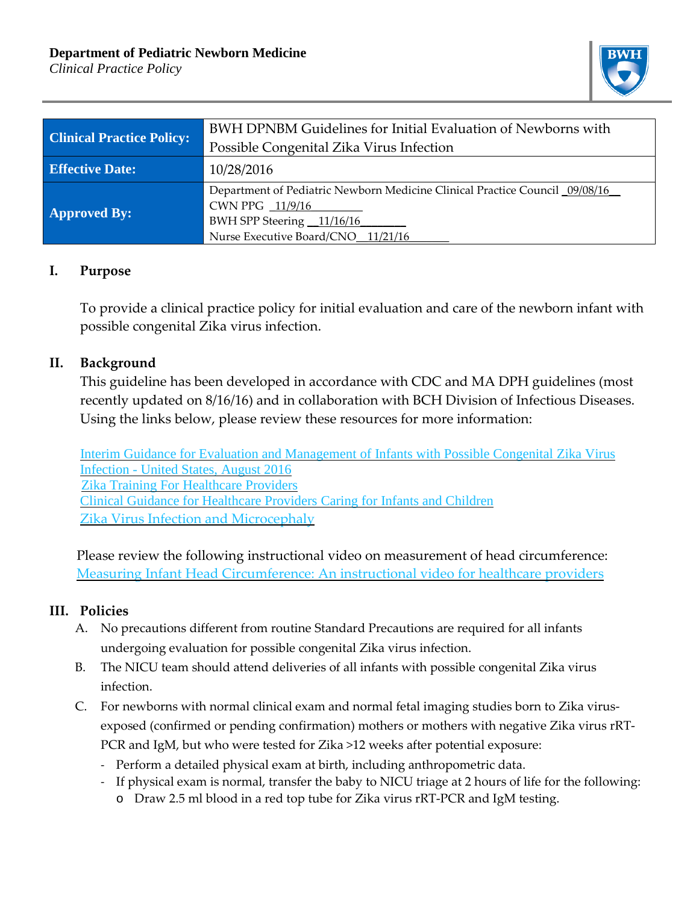## **Department of Pediatric Newborn Medicine**

*Clinical Practice Policy*



| <b>Clinical Practice Policy:</b> | BWH DPNBM Guidelines for Initial Evaluation of Newborns with                |
|----------------------------------|-----------------------------------------------------------------------------|
|                                  | Possible Congenital Zika Virus Infection                                    |
| <b>Effective Date:</b>           | 10/28/2016                                                                  |
| <b>Approved By:</b>              | Department of Pediatric Newborn Medicine Clinical Practice Council 09/08/16 |
|                                  | CWN PPG 11/9/16                                                             |
|                                  | BWH SPP Steering 11/16/16                                                   |
|                                  | Nurse Executive Board/CNO 11/21/16                                          |

## **I. Purpose**

To provide a clinical practice policy for initial evaluation and care of the newborn infant with possible congenital Zika virus infection.

## **II. Background**

This guideline has been developed in accordance with CDC and MA DPH guidelines (most recently updated on 8/16/16) and in collaboration with BCH Division of Infectious Diseases. Using the links below, please review these resources for more information:

Interim Guidance for Evaluation and [Management](http://www.cdc.gov/mmwr/volumes/65/wr/mm6533e2.htm?s_cid=mm6533e2_w) of Infants with Possible Congenital Zika Virus [Infection](http://www.cdc.gov/mmwr/volumes/65/wr/mm6533e2.htm?s_cid=mm6533e2_w) - United States, August 2016 Zika Training For [Healthcare](http://www.cdc.gov/zika/hc-providers/training/training.html) Providers Clinical Guidance for [Healthcare](https://www.cdc.gov/zika/hc-providers/infants-children.html) Providers Caring for Infants and Children Zika Virus Infection and [Microcephaly](https://www.cdc.gov/zika/hc-providers/infants-children/zika-microcephaly.html)

 Please review the following instructional video on measurement of head circumference: Measuring Infant Head [Circumference:](https://www.youtube.com/watch?v=HWV1JdAhsSoo) An instructional video for healthcare providers

## **III. Policies**

- A. No precautions different from routine Standard Precautions are required for all infants undergoing evaluation for possible congenital Zika virus infection.
- B. The NICU team should attend deliveries of all infants with possible congenital Zika virus infection.
- C. For newborns with normal clinical exam and normal fetal imaging studies born to Zika virusexposed (confirmed or pending confirmation) mothers or mothers with negative Zika virus rRT-PCR and IgM, but who were tested for Zika >12 weeks after potential exposure:
	- Perform a detailed physical exam at birth, including anthropometric data.
	- If physical exam is normal, transfer the baby to NICU triage at 2 hours of life for the following:
		- o Draw 2.5 ml blood in a red top tube for Zika virus rRT-PCR and IgM testing.